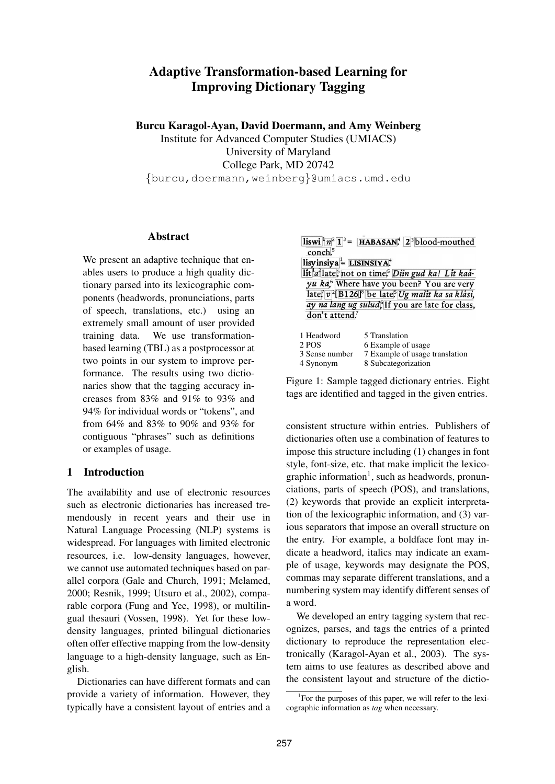# **Adaptive Transformation-based Learning for Improving Dictionary Tagging**

**Burcu Karagol-Ayan, David Doermann, and Amy Weinberg**

Institute for Advanced Computer Studies (UMIACS) University of Maryland College Park, MD 20742 {burcu,doermann,weinberg}@umiacs.umd.edu

## **Abstract**

We present an adaptive technique that enables users to produce a high quality dictionary parsed into its lexicographic components (headwords, pronunciations, parts of speech, translations, etc.) using an extremely small amount of user provided training data. We use transformationbased learning (TBL) as a postprocessor at two points in our system to improve performance. The results using two dictionaries show that the tagging accuracy increases from 83% and 91% to 93% and 94% for individual words or "tokens", and from 64% and 83% to 90% and 93% for contiguous "phrases" such as definitions or examples of usage.

## **1 Introduction**

The availability and use of electronic resources such as electronic dictionaries has increased tremendously in recent years and their use in Natural Language Processing (NLP) systems is widespread. For languages with limited electronic resources, i.e. low-density languages, however, we cannot use automated techniques based on parallel corpora (Gale and Church, 1991; Melamed, 2000; Resnik, 1999; Utsuro et al., 2002), comparable corpora (Fung and Yee, 1998), or multilingual thesauri (Vossen, 1998). Yet for these lowdensity languages, printed bilingual dictionaries often offer effective mapping from the low-density language to a high-density language, such as English.

Dictionaries can have different formats and can provide a variety of information. However, they typically have a consistent layout of entries and a

| $\textbf{listwi}^1 \mid n^2 \mid \mathbf{1}^3 = \textbf{HABASAN}^4$ 2 <sup>3</sup> blood-mouthed |
|--------------------------------------------------------------------------------------------------|
| conch. <sup>5</sup>                                                                              |
| lisyinsiya $=$ LISINSIYA.                                                                        |
| lit a late <sup>5</sup> not on time <sup>5</sup> Diin gud ka! Lit kad-                           |
| yu ka, <sup>6</sup> Where have you been? You are very                                            |
| late, $v^2[B126]^8$ be late, Ug malit ka sa klási,                                               |
| ay na lang ug sulud <sup>6</sup> If you are late for class,                                      |
| don't attend.7                                                                                   |

| 1 Headword     | 5 Translation                  |
|----------------|--------------------------------|
| 2 POS          | 6 Example of usage             |
| 3 Sense number | 7 Example of usage translation |
| 4 Synonym      | 8 Subcategorization            |

Figure 1: Sample tagged dictionary entries. Eight tags are identified and tagged in the given entries.

consistent structure within entries. Publishers of dictionaries often use a combination of features to impose this structure including (1) changes in font style, font-size, etc. that make implicit the lexicographic information<sup>1</sup>, such as headwords, pronunciations, parts of speech (POS), and translations, (2) keywords that provide an explicit interpretation of the lexicographic information, and (3) various separators that impose an overall structure on the entry. For example, a boldface font may indicate a headword, italics may indicate an example of usage, keywords may designate the POS, commas may separate different translations, and a numbering system may identify different senses of a word.

We developed an entry tagging system that recognizes, parses, and tags the entries of a printed dictionary to reproduce the representation electronically (Karagol-Ayan et al., 2003). The system aims to use features as described above and the consistent layout and structure of the dictio-

<sup>&</sup>lt;sup>1</sup>For the purposes of this paper, we will refer to the lexicographic information as *tag* when necessary.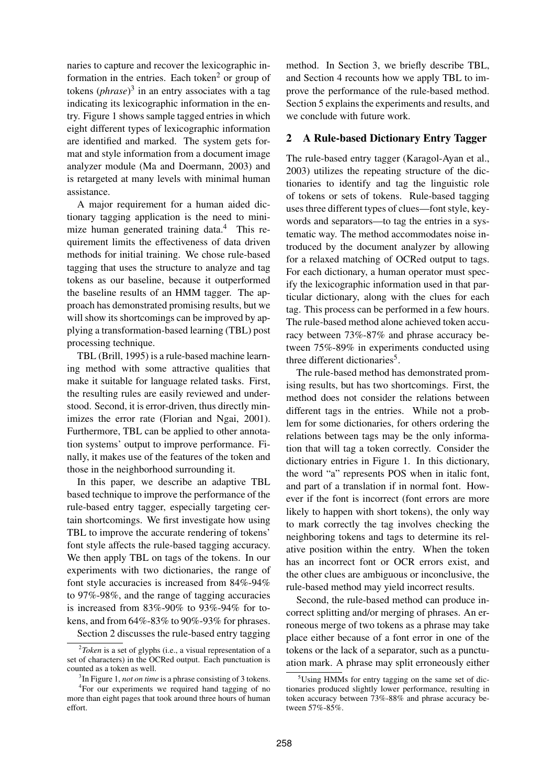naries to capture and recover the lexicographic information in the entries. Each token<sup>2</sup> or group of tokens (*phrase*) 3 in an entry associates with a tag indicating its lexicographic information in the entry. Figure 1 shows sample tagged entries in which eight different types of lexicographic information are identified and marked. The system gets format and style information from a document image analyzer module (Ma and Doermann, 2003) and is retargeted at many levels with minimal human assistance.

A major requirement for a human aided dictionary tagging application is the need to minimize human generated training data.<sup>4</sup> This requirement limits the effectiveness of data driven methods for initial training. We chose rule-based tagging that uses the structure to analyze and tag tokens as our baseline, because it outperformed the baseline results of an HMM tagger. The approach has demonstrated promising results, but we will show its shortcomings can be improved by applying a transformation-based learning (TBL) post processing technique.

TBL (Brill, 1995) is a rule-based machine learning method with some attractive qualities that make it suitable for language related tasks. First, the resulting rules are easily reviewed and understood. Second, it is error-driven, thus directly minimizes the error rate (Florian and Ngai, 2001). Furthermore, TBL can be applied to other annotation systems' output to improve performance. Finally, it makes use of the features of the token and those in the neighborhood surrounding it.

In this paper, we describe an adaptive TBL based technique to improve the performance of the rule-based entry tagger, especially targeting certain shortcomings. We first investigate how using TBL to improve the accurate rendering of tokens' font style affects the rule-based tagging accuracy. We then apply TBL on tags of the tokens. In our experiments with two dictionaries, the range of font style accuracies is increased from 84%-94% to 97%-98%, and the range of tagging accuracies is increased from 83%-90% to 93%-94% for tokens, and from 64%-83% to 90%-93% for phrases.

Section 2 discusses the rule-based entry tagging

method. In Section 3, we briefly describe TBL, and Section 4 recounts how we apply TBL to improve the performance of the rule-based method. Section 5 explains the experiments and results, and we conclude with future work.

#### **2 A Rule-based Dictionary Entry Tagger**

The rule-based entry tagger (Karagol-Ayan et al., 2003) utilizes the repeating structure of the dictionaries to identify and tag the linguistic role of tokens or sets of tokens. Rule-based tagging uses three different types of clues—font style, keywords and separators—to tag the entries in a systematic way. The method accommodates noise introduced by the document analyzer by allowing for a relaxed matching of OCRed output to tags. For each dictionary, a human operator must specify the lexicographic information used in that particular dictionary, along with the clues for each tag. This process can be performed in a few hours. The rule-based method alone achieved token accuracy between 73%-87% and phrase accuracy between 75%-89% in experiments conducted using three different dictionaries<sup>5</sup>.

The rule-based method has demonstrated promising results, but has two shortcomings. First, the method does not consider the relations between different tags in the entries. While not a problem for some dictionaries, for others ordering the relations between tags may be the only information that will tag a token correctly. Consider the dictionary entries in Figure 1. In this dictionary, the word "a" represents POS when in italic font, and part of a translation if in normal font. However if the font is incorrect (font errors are more likely to happen with short tokens), the only way to mark correctly the tag involves checking the neighboring tokens and tags to determine its relative position within the entry. When the token has an incorrect font or OCR errors exist, and the other clues are ambiguous or inconclusive, the rule-based method may yield incorrect results.

Second, the rule-based method can produce incorrect splitting and/or merging of phrases. An erroneous merge of two tokens as a phrase may take place either because of a font error in one of the tokens or the lack of a separator, such as a punctuation mark. A phrase may split erroneously either

<sup>2</sup> *Token* is a set of glyphs (i.e., a visual representation of a set of characters) in the OCRed output. Each punctuation is counted as a token as well.

<sup>3</sup> In Figure 1, *not on time* is a phrase consisting of 3 tokens. 4 For our experiments we required hand tagging of no

more than eight pages that took around three hours of human effort.

 $5$ Using HMMs for entry tagging on the same set of dictionaries produced slightly lower performance, resulting in token accuracy between 73%-88% and phrase accuracy between 57%-85%.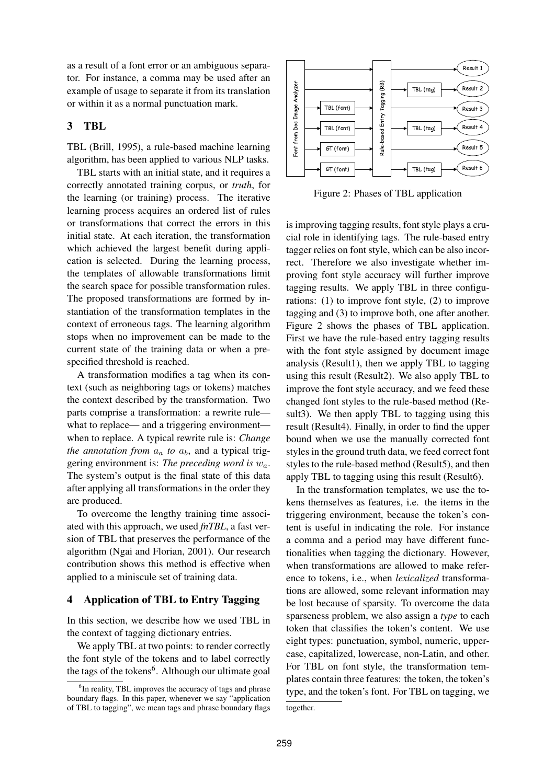as a result of a font error or an ambiguous separator. For instance, a comma may be used after an example of usage to separate it from its translation or within it as a normal punctuation mark.

#### **3 TBL**

TBL (Brill, 1995), a rule-based machine learning algorithm, has been applied to various NLP tasks.

TBL starts with an initial state, and it requires a correctly annotated training corpus, or *truth*, for the learning (or training) process. The iterative learning process acquires an ordered list of rules or transformations that correct the errors in this initial state. At each iteration, the transformation which achieved the largest benefit during application is selected. During the learning process, the templates of allowable transformations limit the search space for possible transformation rules. The proposed transformations are formed by instantiation of the transformation templates in the context of erroneous tags. The learning algorithm stops when no improvement can be made to the current state of the training data or when a prespecified threshold is reached.

A transformation modifies a tag when its context (such as neighboring tags or tokens) matches the context described by the transformation. Two parts comprise a transformation: a rewrite rule what to replace— and a triggering environment when to replace. A typical rewrite rule is: *Change the annotation from*  $a_a$  *to*  $a_b$ , and a typical triggering environment is: *The preceding word is* wa. The system's output is the final state of this data after applying all transformations in the order they are produced.

To overcome the lengthy training time associated with this approach, we used *fnTBL*, a fast version of TBL that preserves the performance of the algorithm (Ngai and Florian, 2001). Our research contribution shows this method is effective when applied to a miniscule set of training data.

#### **4 Application of TBL to Entry Tagging**

In this section, we describe how we used TBL in the context of tagging dictionary entries.

We apply TBL at two points: to render correctly the font style of the tokens and to label correctly the tags of the tokens<sup>6</sup>. Although our ultimate goal



Figure 2: Phases of TBL application

is improving tagging results, font style plays a crucial role in identifying tags. The rule-based entry tagger relies on font style, which can be also incorrect. Therefore we also investigate whether improving font style accuracy will further improve tagging results. We apply TBL in three configurations: (1) to improve font style, (2) to improve tagging and (3) to improve both, one after another. Figure 2 shows the phases of TBL application. First we have the rule-based entry tagging results with the font style assigned by document image analysis (Result1), then we apply TBL to tagging using this result (Result2). We also apply TBL to improve the font style accuracy, and we feed these changed font styles to the rule-based method (Result3). We then apply TBL to tagging using this result (Result4). Finally, in order to find the upper bound when we use the manually corrected font styles in the ground truth data, we feed correct font styles to the rule-based method (Result5), and then apply TBL to tagging using this result (Result6).

In the transformation templates, we use the tokens themselves as features, i.e. the items in the triggering environment, because the token's content is useful in indicating the role. For instance a comma and a period may have different functionalities when tagging the dictionary. However, when transformations are allowed to make reference to tokens, i.e., when *lexicalized* transformations are allowed, some relevant information may be lost because of sparsity. To overcome the data sparseness problem, we also assign a *type* to each token that classifies the token's content. We use eight types: punctuation, symbol, numeric, uppercase, capitalized, lowercase, non-Latin, and other. For TBL on font style, the transformation templates contain three features: the token, the token's type, and the token's font. For TBL on tagging, we together.

<sup>&</sup>lt;sup>6</sup>In reality, TBL improves the accuracy of tags and phrase boundary flags. In this paper, whenever we say "application of TBL to tagging", we mean tags and phrase boundary flags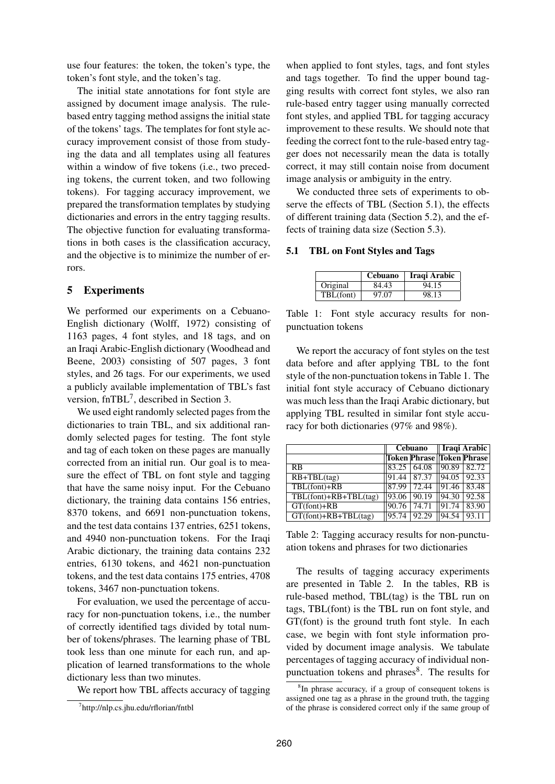use four features: the token, the token's type, the token's font style, and the token's tag.

The initial state annotations for font style are assigned by document image analysis. The rulebased entry tagging method assigns the initial state of the tokens' tags. The templates for font style accuracy improvement consist of those from studying the data and all templates using all features within a window of five tokens (i.e., two preceding tokens, the current token, and two following tokens). For tagging accuracy improvement, we prepared the transformation templates by studying dictionaries and errors in the entry tagging results. The objective function for evaluating transformations in both cases is the classification accuracy, and the objective is to minimize the number of errors.

## **5 Experiments**

We performed our experiments on a Cebuano-English dictionary (Wolff, 1972) consisting of 1163 pages, 4 font styles, and 18 tags, and on an Iraqi Arabic-English dictionary (Woodhead and Beene, 2003) consisting of 507 pages, 3 font styles, and 26 tags. For our experiments, we used a publicly available implementation of TBL's fast version, fnTBL<sup>7</sup>, described in Section 3.

We used eight randomly selected pages from the dictionaries to train TBL, and six additional randomly selected pages for testing. The font style and tag of each token on these pages are manually corrected from an initial run. Our goal is to measure the effect of TBL on font style and tagging that have the same noisy input. For the Cebuano dictionary, the training data contains 156 entries, 8370 tokens, and 6691 non-punctuation tokens, and the test data contains 137 entries, 6251 tokens, and 4940 non-punctuation tokens. For the Iraqi Arabic dictionary, the training data contains 232 entries, 6130 tokens, and 4621 non-punctuation tokens, and the test data contains 175 entries, 4708 tokens, 3467 non-punctuation tokens.

For evaluation, we used the percentage of accuracy for non-punctuation tokens, i.e., the number of correctly identified tags divided by total number of tokens/phrases. The learning phase of TBL took less than one minute for each run, and application of learned transformations to the whole dictionary less than two minutes.

We report how TBL affects accuracy of tagging

when applied to font styles, tags, and font styles and tags together. To find the upper bound tagging results with correct font styles, we also ran rule-based entry tagger using manually corrected font styles, and applied TBL for tagging accuracy improvement to these results. We should note that feeding the correct font to the rule-based entry tagger does not necessarily mean the data is totally correct, it may still contain noise from document image analysis or ambiguity in the entry.

We conducted three sets of experiments to observe the effects of TBL (Section 5.1), the effects of different training data (Section 5.2), and the effects of training data size (Section 5.3).

#### **5.1 TBL on Font Styles and Tags**

|           | <b>Cebuano</b> | Iraqi Arabic |
|-----------|----------------|--------------|
| Original  | 84.43          | 94.15        |
| TBL(font) | 97.07          | 98.13        |

Table 1: Font style accuracy results for nonpunctuation tokens

We report the accuracy of font styles on the test data before and after applying TBL to the font style of the non-punctuation tokens in Table 1. The initial font style accuracy of Cebuano dictionary was much less than the Iraqi Arabic dictionary, but applying TBL resulted in similar font style accuracy for both dictionaries (97% and 98%).

|                            |       | Cebuano                          | Iraqi Arabic   |       |  |
|----------------------------|-------|----------------------------------|----------------|-------|--|
|                            |       | <b>Token Phrase Token Phrase</b> |                |       |  |
| RB                         | 83.25 | 64.08                            | 90.89          | 82.72 |  |
| $RB+TBL(tag)$              | 91.44 | 87.37                            | $\sqrt{94.05}$ | 92.33 |  |
| TBL(font)+RB               | 87.99 | 72.44                            | 91.46          | 83.48 |  |
| $TBL(font)+RB+TBL(tag)$    | 93.06 | 90.19                            | $\sqrt{94.30}$ | 92.58 |  |
| $GT(font) + RB$            | 90.76 | 74.71                            | 91.74          | 83.90 |  |
| $GT(font) + RB + TBL(tag)$ | 95.74 | 92.29                            | 94.54          | 93.11 |  |

Table 2: Tagging accuracy results for non-punctuation tokens and phrases for two dictionaries

The results of tagging accuracy experiments are presented in Table 2. In the tables, RB is rule-based method, TBL(tag) is the TBL run on tags, TBL(font) is the TBL run on font style, and GT(font) is the ground truth font style. In each case, we begin with font style information provided by document image analysis. We tabulate percentages of tagging accuracy of individual nonpunctuation tokens and phrases<sup>8</sup>. The results for

<sup>7</sup> http://nlp.cs.jhu.edu/rflorian/fntbl

<sup>&</sup>lt;sup>8</sup>In phrase accuracy, if a group of consequent tokens is assigned one tag as a phrase in the ground truth, the tagging of the phrase is considered correct only if the same group of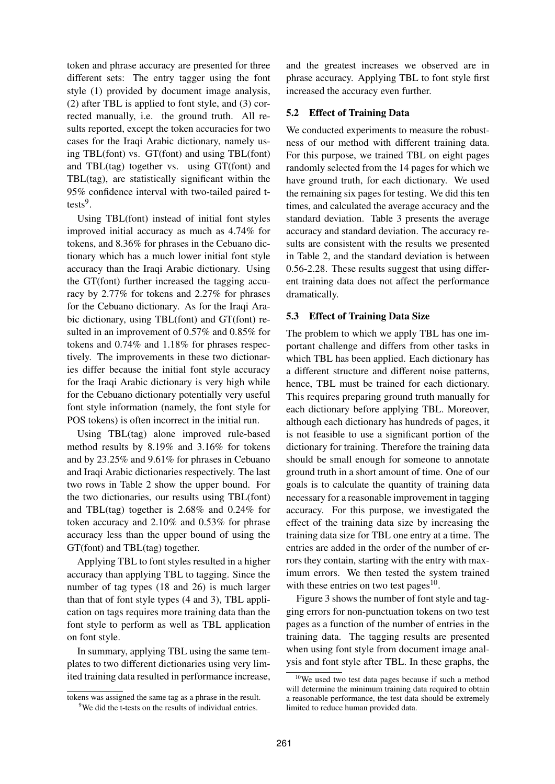token and phrase accuracy are presented for three different sets: The entry tagger using the font style (1) provided by document image analysis, (2) after TBL is applied to font style, and (3) corrected manually, i.e. the ground truth. All results reported, except the token accuracies for two cases for the Iraqi Arabic dictionary, namely using TBL(font) vs. GT(font) and using TBL(font) and TBL(tag) together vs. using GT(font) and TBL(tag), are statistically significant within the 95% confidence interval with two-tailed paired ttests<sup>9</sup>.

Using TBL(font) instead of initial font styles improved initial accuracy as much as 4.74% for tokens, and 8.36% for phrases in the Cebuano dictionary which has a much lower initial font style accuracy than the Iraqi Arabic dictionary. Using the GT(font) further increased the tagging accuracy by 2.77% for tokens and 2.27% for phrases for the Cebuano dictionary. As for the Iraqi Arabic dictionary, using TBL(font) and GT(font) resulted in an improvement of 0.57% and 0.85% for tokens and 0.74% and 1.18% for phrases respectively. The improvements in these two dictionaries differ because the initial font style accuracy for the Iraqi Arabic dictionary is very high while for the Cebuano dictionary potentially very useful font style information (namely, the font style for POS tokens) is often incorrect in the initial run.

Using TBL(tag) alone improved rule-based method results by 8.19% and 3.16% for tokens and by 23.25% and 9.61% for phrases in Cebuano and Iraqi Arabic dictionaries respectively. The last two rows in Table 2 show the upper bound. For the two dictionaries, our results using TBL(font) and TBL(tag) together is 2.68% and 0.24% for token accuracy and 2.10% and 0.53% for phrase accuracy less than the upper bound of using the GT(font) and TBL(tag) together.

Applying TBL to font styles resulted in a higher accuracy than applying TBL to tagging. Since the number of tag types (18 and 26) is much larger than that of font style types (4 and 3), TBL application on tags requires more training data than the font style to perform as well as TBL application on font style.

In summary, applying TBL using the same templates to two different dictionaries using very limited training data resulted in performance increase, and the greatest increases we observed are in phrase accuracy. Applying TBL to font style first increased the accuracy even further.

## **5.2 Effect of Training Data**

We conducted experiments to measure the robustness of our method with different training data. For this purpose, we trained TBL on eight pages randomly selected from the 14 pages for which we have ground truth, for each dictionary. We used the remaining six pages for testing. We did this ten times, and calculated the average accuracy and the standard deviation. Table 3 presents the average accuracy and standard deviation. The accuracy results are consistent with the results we presented in Table 2, and the standard deviation is between 0.56-2.28. These results suggest that using different training data does not affect the performance dramatically.

## **5.3 Effect of Training Data Size**

The problem to which we apply TBL has one important challenge and differs from other tasks in which TBL has been applied. Each dictionary has a different structure and different noise patterns, hence, TBL must be trained for each dictionary. This requires preparing ground truth manually for each dictionary before applying TBL. Moreover, although each dictionary has hundreds of pages, it is not feasible to use a significant portion of the dictionary for training. Therefore the training data should be small enough for someone to annotate ground truth in a short amount of time. One of our goals is to calculate the quantity of training data necessary for a reasonable improvement in tagging accuracy. For this purpose, we investigated the effect of the training data size by increasing the training data size for TBL one entry at a time. The entries are added in the order of the number of errors they contain, starting with the entry with maximum errors. We then tested the system trained with these entries on two test pages $10$ .

Figure 3 shows the number of font style and tagging errors for non-punctuation tokens on two test pages as a function of the number of entries in the training data. The tagging results are presented when using font style from document image analysis and font style after TBL. In these graphs, the

tokens was assigned the same tag as a phrase in the result.

<sup>&</sup>lt;sup>9</sup>We did the t-tests on the results of individual entries.

<sup>&</sup>lt;sup>10</sup>We used two test data pages because if such a method will determine the minimum training data required to obtain a reasonable performance, the test data should be extremely limited to reduce human provided data.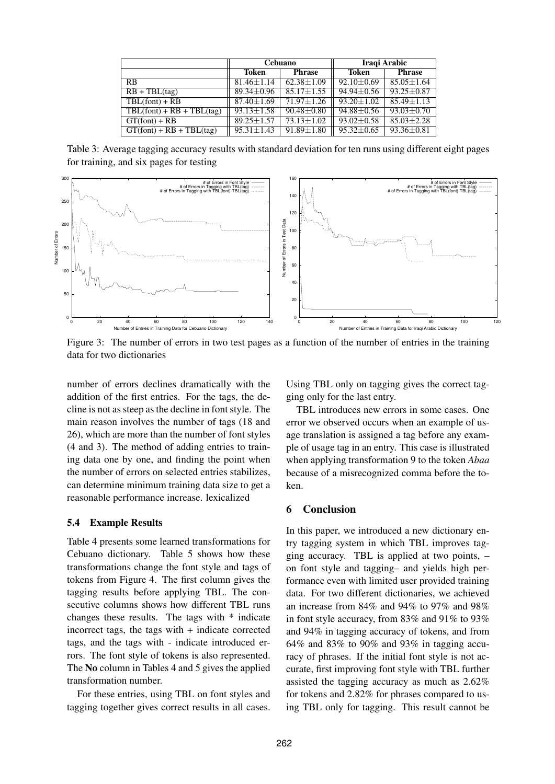|                             |                  | Cebuano          | Iraqi Arabic     |                  |  |  |
|-----------------------------|------------------|------------------|------------------|------------------|--|--|
|                             | Token            | <b>Phrase</b>    | Token            | <b>Phrase</b>    |  |  |
| <b>RB</b>                   | $81.46 + 1.14$   | $62.38 \pm 1.09$ | $92.10 \pm 0.69$ | $85.05 + 1.64$   |  |  |
| $RB + TBL(tag)$             | $89.34 \pm 0.96$ | $85.17 \pm 1.55$ | $94.94 \pm 0.56$ | $93.25 + 0.87$   |  |  |
| $TBL(font) + RB$            | $87.40 + 1.69$   | $71.97 + 1.26$   | $93.20 + 1.02$   | $85.49 + 1.13$   |  |  |
| $TBL(font) + RB + TBL(tag)$ | $93.13 + 1.58$   | $90.48 \pm 0.80$ | $94.88 \pm 0.56$ | $93.03 + 0.70$   |  |  |
| $GT(font) + RB$             | $89.25 + 1.57$   | $73.13 \pm 1.02$ | $93.02 \pm 0.58$ | $85.03 + 2.28$   |  |  |
| $GT(font) + RB + TBL(tag)$  | $95.31 + 1.43$   | $91.89 \pm 1.80$ | $95.32 \pm 0.65$ | $93.36 \pm 0.81$ |  |  |

Table 3: Average tagging accuracy results with standard deviation for ten runs using different eight pages for training, and six pages for testing



Figure 3: The number of errors in two test pages as a function of the number of entries in the training data for two dictionaries

number of errors declines dramatically with the addition of the first entries. For the tags, the decline is not as steep as the decline in font style. The main reason involves the number of tags (18 and 26), which are more than the number of font styles (4 and 3). The method of adding entries to training data one by one, and finding the point when the number of errors on selected entries stabilizes, can determine minimum training data size to get a reasonable performance increase. lexicalized

#### **5.4 Example Results**

Table 4 presents some learned transformations for Cebuano dictionary. Table 5 shows how these transformations change the font style and tags of tokens from Figure 4. The first column gives the tagging results before applying TBL. The consecutive columns shows how different TBL runs changes these results. The tags with \* indicate incorrect tags, the tags with + indicate corrected tags, and the tags with - indicate introduced errors. The font style of tokens is also represented. The **No** column in Tables 4 and 5 gives the applied transformation number.

For these entries, using TBL on font styles and tagging together gives correct results in all cases.

Using TBL only on tagging gives the correct tagging only for the last entry.

TBL introduces new errors in some cases. One error we observed occurs when an example of usage translation is assigned a tag before any example of usage tag in an entry. This case is illustrated when applying transformation 9 to the token *Abaa* because of a misrecognized comma before the token.

## **6 Conclusion**

In this paper, we introduced a new dictionary entry tagging system in which TBL improves tagging accuracy. TBL is applied at two points, – on font style and tagging– and yields high performance even with limited user provided training data. For two different dictionaries, we achieved an increase from 84% and 94% to 97% and 98% in font style accuracy, from 83% and 91% to 93% and 94% in tagging accuracy of tokens, and from 64% and 83% to 90% and 93% in tagging accuracy of phrases. If the initial font style is not accurate, first improving font style with TBL further assisted the tagging accuracy as much as 2.62% for tokens and 2.82% for phrases compared to using TBL only for tagging. This result cannot be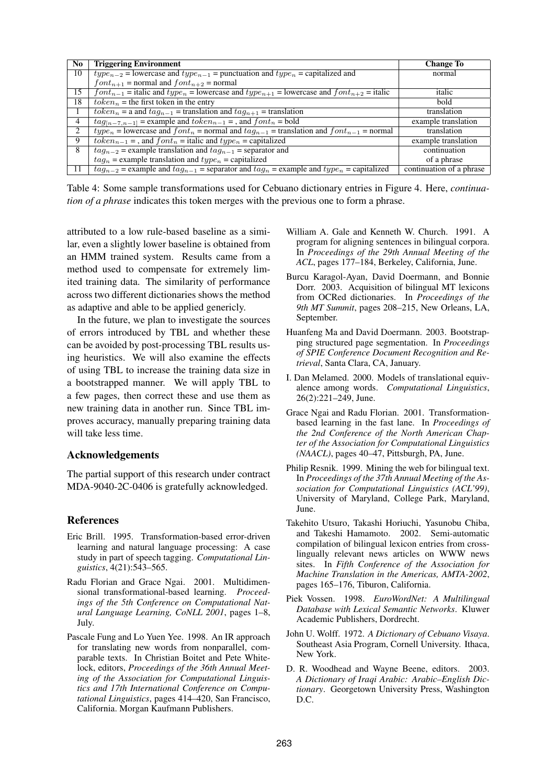| N <sub>0</sub> | <b>Triggering Environment</b>                                                                         | <b>Change To</b>         |
|----------------|-------------------------------------------------------------------------------------------------------|--------------------------|
| 10             | $type_{n-2}$ = lowercase and $type_{n-1}$ = punctuation and $type_n$ = capitalized and                | normal                   |
|                | $font_{n+1}$ = normal and $font_{n+2}$ = normal                                                       |                          |
| 15             | $font_{n-1}$ = italic and $type_n$ = lowercase and $type_{n+1}$ = lowercase and $font_{n+2}$ = italic | italic                   |
| 18             | $token_n$ = the first token in the entry                                                              | bold                     |
|                | $token_n =$ a and $tag_{n-1}$ = translation and $tag_{n+1}$ = translation                             | translation              |
| 4              | $tag_{[n-7,n-1]}$ = example and $token_{n-1}$ = , and $font_n$ = bold                                 | example translation      |
| 2              | $type_n =$ lowercase and $font_n =$ normal and $tag_{n-1} =$ translation and $font_{n-1} =$ normal    | translation              |
| 9              | $token_{n-1}$ = , and $font_n$ = italic and $type_n$ = capitalized                                    | example translation      |
| 8              | $tag_{n-2}$ = example translation and $tag_{n-1}$ = separator and                                     | continuation             |
|                | $tag_n$ = example translation and $type_n$ = capitalized                                              | of a phrase              |
| 11             | $taq_{n-2}$ = example and $taq_{n-1}$ = separator and $taq_n$ = example and $type_n$ = capitalized    | continuation of a phrase |

Table 4: Some sample transformations used for Cebuano dictionary entries in Figure 4. Here, *continuation of a phrase* indicates this token merges with the previous one to form a phrase.

attributed to a low rule-based baseline as a similar, even a slightly lower baseline is obtained from an HMM trained system. Results came from a method used to compensate for extremely limited training data. The similarity of performance across two different dictionaries shows the method as adaptive and able to be applied genericly.

In the future, we plan to investigate the sources of errors introduced by TBL and whether these can be avoided by post-processing TBL results using heuristics. We will also examine the effects of using TBL to increase the training data size in a bootstrapped manner. We will apply TBL to a few pages, then correct these and use them as new training data in another run. Since TBL improves accuracy, manually preparing training data will take less time.

#### **Acknowledgements**

The partial support of this research under contract MDA-9040-2C-0406 is gratefully acknowledged.

## **References**

- Eric Brill. 1995. Transformation-based error-driven learning and natural language processing: A case study in part of speech tagging. *Computational Linguistics*, 4(21):543–565.
- Radu Florian and Grace Ngai. 2001. Multidimensional transformational-based learning. *Proceedings of the 5th Conference on Computational Natural Language Learning, CoNLL 2001*, pages 1–8, July.
- Pascale Fung and Lo Yuen Yee. 1998. An IR approach for translating new words from nonparallel, comparable texts. In Christian Boitet and Pete Whitelock, editors, *Proceedings of the 36th Annual Meeting of the Association for Computational Linguistics and 17th International Conference on Computational Linguistics*, pages 414–420, San Francisco, California. Morgan Kaufmann Publishers.
- William A. Gale and Kenneth W. Church. 1991. A program for aligning sentences in bilingual corpora. In *Proceedings of the 29th Annual Meeting of the ACL*, pages 177–184, Berkeley, California, June.
- Burcu Karagol-Ayan, David Doermann, and Bonnie Dorr. 2003. Acquisition of bilingual MT lexicons from OCRed dictionaries. In *Proceedings of the 9th MT Summit*, pages 208–215, New Orleans, LA, September.
- Huanfeng Ma and David Doermann. 2003. Bootstrapping structured page segmentation. In *Proceedings of SPIE Conference Document Recognition and Retrieval*, Santa Clara, CA, January.
- I. Dan Melamed. 2000. Models of translational equivalence among words. *Computational Linguistics*, 26(2):221–249, June.
- Grace Ngai and Radu Florian. 2001. Transformationbased learning in the fast lane. In *Proceedings of the 2nd Conference of the North American Chapter of the Association for Computational Linguistics (NAACL)*, pages 40–47, Pittsburgh, PA, June.
- Philip Resnik. 1999. Mining the web for bilingual text. In *Proceedings of the 37th Annual Meeting of the Association for Computational Linguistics (ACL'99)*, University of Maryland, College Park, Maryland, June.
- Takehito Utsuro, Takashi Horiuchi, Yasunobu Chiba, and Takeshi Hamamoto. 2002. Semi-automatic compilation of bilingual lexicon entries from crosslingually relevant news articles on WWW news sites. In *Fifth Conference of the Association for Machine Translation in the Americas, AMTA-2002*, pages 165–176, Tiburon, California.
- Piek Vossen. 1998. *EuroWordNet: A Multilingual Database with Lexical Semantic Networks*. Kluwer Academic Publishers, Dordrecht.
- John U. Wolff. 1972. *A Dictionary of Cebuano Visaya*. Southeast Asia Program, Cornell University. Ithaca, New York.
- D. R. Woodhead and Wayne Beene, editors. 2003. *A Dictionary of Iraqi Arabic: Arabic–English Dictionary*. Georgetown University Press, Washington D.C.